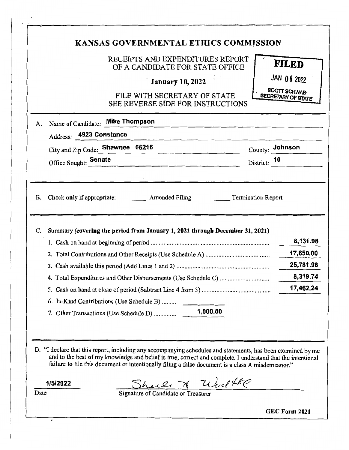|    |                                                                                     | RECEIPTS AND EXPENDITURES REPORT                                         |                                                  |
|----|-------------------------------------------------------------------------------------|--------------------------------------------------------------------------|--------------------------------------------------|
|    |                                                                                     | OF A CANDIDATE FOR STATE OFFICE                                          | <b>FILED</b>                                     |
|    |                                                                                     | <b>January 10, 2022</b>                                                  | JAN 06 2022                                      |
|    |                                                                                     | FILE WITH SECRETARY OF STATE<br><b>SEE REVERSE SIDE FOR INSTRUCTIONS</b> | <b>SCOTT SCHWAB</b><br><b>SECRETARY OF STATE</b> |
| A. | Name of Candidate: Mike Thompson                                                    |                                                                          |                                                  |
|    | Address: 4923 Constance                                                             |                                                                          |                                                  |
|    | City and Zip Code: Shawnee 66216                                                    |                                                                          | County: Johnson                                  |
|    | Office Sought: Senate                                                               |                                                                          | District: 10                                     |
|    |                                                                                     |                                                                          | 25,781.98<br>8,319.74<br>17,462.24               |
|    |                                                                                     |                                                                          |                                                  |
|    |                                                                                     |                                                                          |                                                  |
|    | 6. In-Kind Contributions (Use Schedule B)<br>7. Other Transactions (Use Schedule D) | 1,000.00                                                                 |                                                  |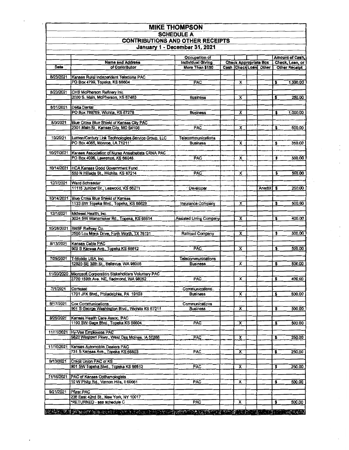| <b>MIKE THOMPSON</b>                    |
|-----------------------------------------|
| <b>SCHEDULE A</b>                       |
| <b>CONTRIBUTIONS AND OTHER RECEIPTS</b> |
| January 1 - December 31, 2021           |

|              |                                                                                     | Occupation of                         |                         |                              |    | <b>Amount of Cash,</b> |
|--------------|-------------------------------------------------------------------------------------|---------------------------------------|-------------------------|------------------------------|----|------------------------|
|              | <b>Name and Address</b>                                                             | <b>Individual Giving</b>              |                         | <b>Check Appropriate Box</b> |    | Check, Loan, or        |
| Date         | of Contributor                                                                      | More Than \$150                       |                         | Cash Check Loan Other        |    | <b>Other Receipt</b>   |
| 8/23/2021    |                                                                                     |                                       |                         |                              |    |                        |
|              | Kansas Rural Independent Telecoms PAC<br>PO Box 4799, Topeka, KS 66604              | <b>PAC</b>                            | x                       |                              | \$ | 1,000.00               |
|              |                                                                                     |                                       |                         |                              |    |                        |
| 8/23/2021    | CHS McPherson Refinery Inc.                                                         |                                       |                         |                              |    |                        |
|              | 2000 S. Main, McPherson, KS 67460                                                   | <b>Business</b>                       | x                       |                              | \$ | 250.00                 |
|              |                                                                                     |                                       |                         |                              |    |                        |
| 8/31/2021    | Delta Dental<br>PO Box 789769, Wichita, KS 67278                                    | <b>Business</b>                       | X                       |                              | \$ | 1,000.00               |
|              |                                                                                     |                                       |                         |                              |    |                        |
| 8/3/2021     | Blue Cross Blue Shield of Kansas City PAC                                           |                                       |                         |                              |    |                        |
|              | 2301 Main St., Kansas City, MO 64108                                                | <b>PAC</b>                            | $\overline{\mathbf{x}}$ |                              | \$ | 500.00                 |
|              |                                                                                     |                                       |                         |                              |    |                        |
| 10/20/21     | Lumen/Century Link Technologies Service Group, LLC<br>PO Box 4065, Monroe, LA 71211 | Telecommunications<br><b>Business</b> | $\overline{\mathbf{x}}$ |                              | \$ |                        |
|              |                                                                                     |                                       |                         |                              |    | 350.00                 |
| 10/27/2021   | Kansas Association of Nurse Anesthetists CRNA PAC                                   |                                       |                         |                              |    |                        |
|              | PO Box 4006, Lawrence, KS 66046                                                     | <b>PAC</b>                            | $\overline{\mathsf{x}}$ |                              | \$ | 500.00                 |
|              |                                                                                     |                                       |                         |                              |    |                        |
|              | 10/14/2021 HCA Kansas Good Government Fund                                          |                                       |                         |                              |    |                        |
|              | 550 N Hillside St., Wichita, KS 67214                                               | <b>PAC</b>                            | $\overline{\mathsf{x}}$ |                              | \$ | 500.00                 |
| 12/7/2021    | Ward Schraeder                                                                      |                                       |                         |                              |    |                        |
|              | 11115 Juniper Dr., Leawood, KS 66211                                                | Devéloper                             |                         | Anedot)                      | \$ | 250.00                 |
|              |                                                                                     |                                       |                         |                              |    |                        |
| 10/14/2021 1 | Blue Cross Blue Shield of Kansas                                                    |                                       |                         |                              |    |                        |
|              | 1133 SW Topeka Blvd., Topeka, KS 66629                                              | Insurance Company                     | $\overline{\mathsf{x}}$ |                              | \$ | 500.00                 |
| 12/1/2021    | Midwest Health, Inc.                                                                |                                       |                         |                              |    |                        |
|              | 3024 SW Wanamaker Rd., Topeka, KS 66614                                             | Assisted Living Company               | x                       |                              | \$ | 400.00                 |
|              |                                                                                     |                                       |                         |                              |    |                        |
|              | 10/28/2021   BNSF Railway Co.<br>2500 Lou Menk Drive, Forth Worth, TX 76131         |                                       | $\overline{\mathbf{x}}$ |                              |    | 600.00                 |
|              |                                                                                     | Railroad Company                      |                         |                              | \$ |                        |
| 8/13/2021    | Kansas Cable PAC                                                                    |                                       |                         |                              |    |                        |
|              | 900 S Kansas Ave., Topeka KS 66612                                                  | <b>PAC</b>                            | $\overline{\mathsf{x}}$ |                              | \$ | 500.00                 |
|              |                                                                                     |                                       |                         |                              |    |                        |
| 7/29/2021    | T-Mobile USA, Inc.<br>12920 SE 38th St., Bellevue, WA 98006                         | <b>Telecommunications</b>             | x                       |                              | \$ | 500.00                 |
|              |                                                                                     | <b>Business</b>                       |                         |                              |    |                        |
|              | 11/20/2020 Microsoft Corporation Stakeholders Voluntary PAC                         |                                       |                         |                              |    |                        |
|              | 3720 159th Ave. NE, Redmond, WA 98052                                               | PAC                                   | x                       |                              | \$ | 400.00                 |
|              |                                                                                     |                                       |                         |                              |    |                        |
| 7/1/2021     | Comcast-                                                                            | Communications                        | $\overline{\mathbf{x}}$ |                              |    | 500.00                 |
|              | 1701 JFK Blvd., Philadelphia, PA 19103                                              | <b>Business</b>                       |                         |                              | \$ |                        |
| 8/17/2021    | Cox Communications                                                                  | Communications                        |                         |                              |    |                        |
|              | 901 S George Washington Blvd., Wichita KS 67211                                     | <b>Business</b>                       | х                       |                              | \$ | 500.00                 |
| 8/26/2021    | Kansas Health Care Assoc. PAC                                                       |                                       |                         |                              |    |                        |
|              | 1100 SW Gage Blvd., Topeka KS 66604                                                 | <b>PAC</b>                            | X                       |                              | \$ | 500.00                 |
|              |                                                                                     |                                       |                         |                              |    |                        |
|              | 11/11/2021 Hy-Vee Employees PAC                                                     |                                       |                         |                              |    |                        |
|              | 5820 Westown Pkwy., West Des Moines, 1A 50266                                       | <b>PAC</b>                            | $\overline{\mathbf{x}}$ |                              | S  | 250.00                 |
| 11/10/2021   | Kansas Automobile Dealers PAC                                                       |                                       |                         |                              |    |                        |
|              | 731 S Kansas Ave., Topeka KS 66603                                                  | PAC                                   | X                       |                              | \$ | 250.00                 |
|              |                                                                                     |                                       |                         |                              |    |                        |
| 9/13/2021    | Credit Union PAC of KS                                                              |                                       |                         |                              |    |                        |
|              | 901 SW Topeka Blvd., Topeka KS 66612                                                | PAC                                   | x                       |                              | s  | 250.00                 |
| 11/16/2021   | PAC of Kansas Opthamologists                                                        |                                       |                         |                              |    |                        |
|              | 10 W Philip Rd., Vernon Hills, Il 60061                                             | <b>PAC</b>                            | x                       |                              | \$ | 500.00                 |
|              |                                                                                     |                                       |                         |                              |    |                        |
| 9/21/2021    | <b>Pizer PAC</b>                                                                    |                                       |                         |                              |    |                        |
|              | 235 East 42nd St., New York, NY 10017<br>*RETURNED - see schedule C                 | PAC                                   | х                       |                              |    |                        |
|              |                                                                                     |                                       |                         |                              | s  | 500.00                 |
|              |                                                                                     |                                       |                         |                              |    |                        |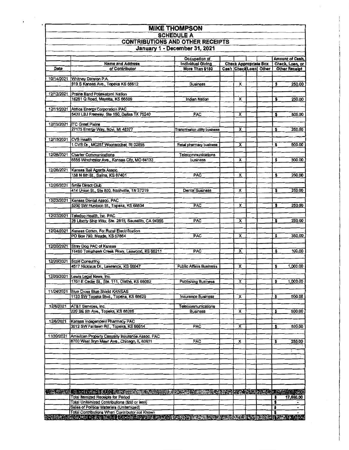| <b>MIKE THOMPSON</b>                                         |                                                                                                       |                                |  |                         |  |                               |    |                      |
|--------------------------------------------------------------|-------------------------------------------------------------------------------------------------------|--------------------------------|--|-------------------------|--|-------------------------------|----|----------------------|
| <b>SCHEDULE A</b><br><b>CONTRIBUTIONS AND OTHER RECEIPTS</b> |                                                                                                       |                                |  |                         |  |                               |    |                      |
|                                                              |                                                                                                       |                                |  |                         |  | January 1 - December 31, 2021 |    |                      |
|                                                              | <b>Occupation of</b><br><b>Amount of Cash,</b>                                                        |                                |  |                         |  |                               |    |                      |
|                                                              | <b>Name and Address</b>                                                                               | <b>Individual Giving</b>       |  |                         |  | <b>Check Appropriate Box</b>  |    | Check, Loan, or      |
| Date                                                         | of Contributor                                                                                        | More Than \$150                |  |                         |  | Cash CheckLoan Other          |    | <b>Other Receipt</b> |
| 10/14/2021                                                   | Whitney Damron P.A.                                                                                   |                                |  |                         |  |                               |    |                      |
|                                                              | 919 S Kansas Ave., Topeka KS 66612                                                                    | Business                       |  | $\overline{\mathbf{x}}$ |  |                               | \$ | 250.00               |
| 12/12/2021                                                   | Prairie Band Potawatomi Nation                                                                        |                                |  |                         |  |                               |    |                      |
|                                                              | 16281 Q Road, Mayetta, KS 66509                                                                       | Indian Nation                  |  | x                       |  |                               | \$ | 250.00               |
|                                                              |                                                                                                       |                                |  |                         |  |                               |    |                      |
|                                                              | 12/11/2021 Atmos Energy Corporation PAC                                                               |                                |  |                         |  |                               |    |                      |
|                                                              | 5430 LBJ Freeway, Ste 160, Dallas TX 75240                                                            | <b>PAC</b>                     |  | X                       |  |                               | \$ | 500.00               |
|                                                              | 12/15/2021 ITC Great Plains                                                                           |                                |  |                         |  |                               |    |                      |
|                                                              | 27175 Energy Way, Novi, MI 48377                                                                      | Transmission utilly business   |  | X                       |  |                               | \$ | 250.00               |
|                                                              |                                                                                                       |                                |  |                         |  |                               |    |                      |
| 12/15/2021                                                   | CVS Health<br>1 CVS Dr., MC287 Woonsocket, RI 02895                                                   | Retail pharmacy business       |  | х                       |  |                               | \$ | 500.00               |
|                                                              |                                                                                                       |                                |  |                         |  |                               |    |                      |
| 12/28/2021                                                   | <b>Charter Communications</b>                                                                         | Telecommunications             |  |                         |  |                               |    |                      |
|                                                              | 6555 Winchester Ave., Kansas City, MO 64133                                                           | business                       |  | x                       |  |                               | \$ | 300.00               |
| 12/28/2021                                                   | Kansas Bail Agents Assoc.                                                                             |                                |  |                         |  |                               |    |                      |
|                                                              | 158 N 8th St., Salina, KS 67401                                                                       | PAC                            |  | x                       |  |                               | s  | 250.00               |
|                                                              |                                                                                                       |                                |  |                         |  |                               |    |                      |
|                                                              | 12/26/2021 Smile Direct Club                                                                          |                                |  |                         |  |                               |    |                      |
|                                                              | 414 Union St., Ste 800, Nashville, TN 37219                                                           | <b>Dental Business</b>         |  | х                       |  |                               | \$ | 250.00               |
| 12/22/2021                                                   | Kansas Dental Assoc. PAC                                                                              |                                |  |                         |  |                               |    |                      |
|                                                              | 5200 SW Huntoon St., Topeka, KS 66604                                                                 | <b>PAC</b>                     |  | x                       |  |                               | s  | 250.00               |
| 12/22/2021                                                   | Teledoc Health, Inc. PAC                                                                              |                                |  |                         |  |                               |    |                      |
|                                                              | 28 Liberty Ship Way, Ste. 2815, Sausalito, CA 94965                                                   | PAC                            |  | x                       |  |                               | \$ | 250.00               |
|                                                              |                                                                                                       |                                |  |                         |  |                               |    |                      |
| 12/24/2021                                                   | Kansas Comm. For Rural Electrification                                                                |                                |  |                         |  |                               |    |                      |
|                                                              | PO Box 790, Meade, KS 67864                                                                           | PAC                            |  | x                       |  |                               | \$ | 350.00               |
| 12/20/2021                                                   | <b>Stray Dog PAC of Kansas</b>                                                                        |                                |  |                         |  |                               |    |                      |
|                                                              | 11460 Tomahawk Creek Pkwy, Leawood, KS 66211                                                          | <b>PAC</b>                     |  | x                       |  |                               | \$ | 100.00               |
|                                                              | 12/20/2021 Scott Consulting                                                                           |                                |  |                         |  |                               |    |                      |
|                                                              | 4517 Nicklaus Dr., Lawrence, KS 66047                                                                 | <b>Public Affairs Business</b> |  | x                       |  |                               | \$ | 1,000.00             |
|                                                              |                                                                                                       |                                |  |                         |  |                               |    |                      |
|                                                              | 12/20/2021 Lewis Legal News, Inc.                                                                     |                                |  |                         |  |                               |    |                      |
|                                                              | 1701 E Cedar St., Ste. 111, Olathe, KS 66062                                                          | <b>Publishing Business</b>     |  | x                       |  |                               | \$ | 1,000.00             |
| 11/24/2021                                                   | <b>Blue Cross Blue Shield KANSAS</b>                                                                  |                                |  |                         |  |                               |    |                      |
|                                                              | 1133 SW Topeka Blvd., Topeka, KS 66629                                                                | Insurance Business             |  | $\overline{\mathbf{x}}$ |  |                               | \$ | 500.00               |
| 12/8/2021                                                    | AT&T Services, Inc.                                                                                   | Telecommunications             |  |                         |  |                               |    |                      |
|                                                              | 220 SE 6th Ave., Topeka, KS 66286                                                                     | <b>Business</b>                |  | π                       |  |                               | \$ | 500.00               |
|                                                              |                                                                                                       |                                |  |                         |  |                               |    |                      |
| 12/6/2021                                                    | Kansas Independent Pharmacy PAC<br>3512 SW Fairlawn Rd., Topeka, KS 66614                             |                                |  |                         |  |                               |    |                      |
|                                                              |                                                                                                       | <b>PAC</b>                     |  | х                       |  |                               | \$ | 500.00               |
| 11/30/2021                                                   | American Property Casualty Insurance Assoc. PAC                                                       |                                |  |                         |  |                               |    |                      |
|                                                              | 8700 West Bryn Mawr Ave., Chicago, IL 60631                                                           | PAC                            |  | X                       |  |                               | \$ | 250,00               |
|                                                              |                                                                                                       |                                |  |                         |  |                               |    |                      |
|                                                              |                                                                                                       |                                |  |                         |  |                               |    |                      |
|                                                              |                                                                                                       |                                |  |                         |  |                               |    |                      |
|                                                              |                                                                                                       |                                |  |                         |  |                               |    |                      |
|                                                              |                                                                                                       |                                |  |                         |  |                               |    |                      |
|                                                              |                                                                                                       |                                |  |                         |  |                               |    |                      |
|                                                              |                                                                                                       |                                |  |                         |  |                               |    |                      |
|                                                              | TERS ESTABLITUORIN IN LUI LERKOTTOROKO ALIISTORIKO LORUNGIN TAIKON ALIIKUN KENTERI KUNINGUN MATERIALI |                                |  |                         |  |                               |    |                      |
|                                                              | <b>Total Itemized Receipts for Period</b><br>Total Uniternized Contributions (\$50 or less)           |                                |  |                         |  |                               | s  | 17,650,00            |
|                                                              | Sales of Political Materials (Unitemized)                                                             |                                |  |                         |  |                               | s  |                      |
|                                                              | Total Contributions When Contributor not Known                                                        |                                |  |                         |  |                               | \$ |                      |
|                                                              | <b>乾燥粒茶添为花灯的</b> 日 (0)开采方面和手机(0)喷涂和含盐的涂面清清的糖粒 <i>素有味温和水果或</i> 或脂肪酸酯或或脂肪酸的医变成有量或物质不同的量                 |                                |  |                         |  |                               |    |                      |

 $\epsilon_{\rm{eff}}$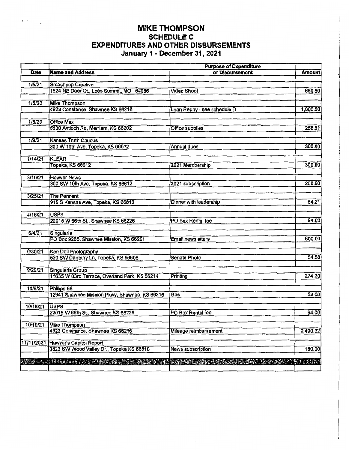## **MIKE THOMPSON SCHEDULE C EXPENDITURES AND OTHER DISBURSEMENTS January 1 - December 31, 2021**

 $\epsilon \rightarrow \epsilon$ 

|            |                                                             | <b>Purpose of Expenditure</b> |          |
|------------|-------------------------------------------------------------|-------------------------------|----------|
| Date       | <b>Name and Address</b>                                     | or Disbursement               | Amount   |
|            |                                                             |                               |          |
| 1/5/21     | Smashpop Creative                                           |                               |          |
|            | 1524 NE Deer Ct., Lees Summit, MO 64086                     | <b>Video Shoot</b>            | 669.50   |
| 1/5/20     |                                                             |                               |          |
|            | <b>Mike Thompson</b><br>4923 Constance, Shawnee KS 66216    | Loan Repay - see schedule D   | 1,000.00 |
|            |                                                             |                               |          |
| 1/5/20     | <b>Office Max</b>                                           |                               |          |
|            | 5830 Antioch Rd, Merriam, KS 66202                          | <b>Office supplies</b>        | 258.81   |
|            |                                                             |                               |          |
| 1/9/21     | Kansas Truth Caucus                                         |                               |          |
|            | 300 W 10th Ave, Topeka, KS 66612                            | Annual dues                   | 300.00   |
|            |                                                             |                               |          |
| 1/14/21    | <b>KLEAR</b>                                                |                               |          |
|            | Topeka, KS 66612                                            | 2021 Membership               | 300.00   |
|            |                                                             |                               |          |
| 3/10/21    | <b>Hawver News</b><br>300 SW 10th Ave, Topeka, KS 66612     | 2021 subscription             | 200.00   |
|            |                                                             |                               |          |
| 3/25/21    | The Pennant                                                 |                               |          |
|            | 915 S Kansas Ave, Topeka, KS 66612                          | Dinner with leadership        | 54.21    |
|            |                                                             |                               |          |
| 4/16/21    | <b>USPS</b>                                                 |                               |          |
|            | 22015 W 66th St., Shawnee KS 66226                          | PO Box Rental fee             | 94.00    |
|            |                                                             |                               |          |
| 6/4/21     | <b>Singularis</b>                                           |                               |          |
|            | PO Box 9265, Shawnee Mission, KS 66201                      | <b>Email newsletters</b>      | 800.00   |
|            |                                                             |                               |          |
| 6/30/21    | Ken Doll Photography<br>530 SW Danbury Ln, Topeka, KS 66606 | Senate Photo                  | 54.58    |
|            |                                                             |                               |          |
| 9/29/21    | <b>Singularis Group</b>                                     |                               |          |
|            | 11635 W 83rd Terrace, Overland Park, KS 66214               | Printing                      | 274.30   |
|            |                                                             |                               |          |
| 10/6/21    | Phillips 66                                                 |                               |          |
|            | 12941 Shawnee Mission Pkwy, Shawnee, KS 66216               | Gas                           | 52.00    |
|            |                                                             |                               |          |
| 10/18/21   | <b>USPS</b>                                                 |                               |          |
|            | 22015 W 66th St., Shawnee KS 66226                          | PO Box Rental fee             | 94.00    |
| 10/19/21   | <b>Mike Thompson</b>                                        |                               |          |
|            | 4923 Constance, Shawnee KS 66216                            | Mileage reimbursement         | 2,490.32 |
|            |                                                             |                               |          |
| 11/11/2021 | Hawver's Capitol Report                                     |                               |          |
|            | 3823 SW Wood Valley Dr., Topeka KS 66610                    | News subscription             | 180.00   |
|            |                                                             |                               |          |
|            | NAS PROVINCINA NA DEVENISSA                                 | BAR REAL IS                   | 将最大に?    |
|            |                                                             |                               |          |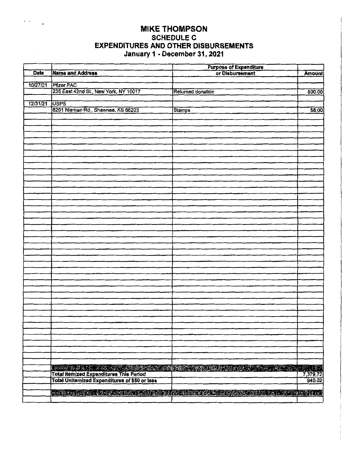## MIKE THOMPSON SCHEDULE C EXPENDITURES AND OTHER DISBURSEMENTS January 1 - December 31, 2021

 $\alpha = \alpha = 1$ 

|          |                                                                                                                                     | <b>Purpose of Expenditure</b><br>or Disbursement                                                              |               |  |  |  |
|----------|-------------------------------------------------------------------------------------------------------------------------------------|---------------------------------------------------------------------------------------------------------------|---------------|--|--|--|
| Date     | <b>Name and Address</b>                                                                                                             |                                                                                                               | <b>Amount</b> |  |  |  |
|          |                                                                                                                                     |                                                                                                               |               |  |  |  |
| 10/27/21 | <b>Pfizer PAC</b>                                                                                                                   |                                                                                                               |               |  |  |  |
|          | 235 East 42nd St., New York, NY 10017                                                                                               | <b>Returned donation</b>                                                                                      | 500.00        |  |  |  |
|          |                                                                                                                                     |                                                                                                               |               |  |  |  |
| 12/31/21 | <b>USPS</b>                                                                                                                         |                                                                                                               |               |  |  |  |
|          | 6201 Nieman Rd., Shawnee, KS 66203                                                                                                  | <b>Stamps</b>                                                                                                 | 58.00         |  |  |  |
|          |                                                                                                                                     |                                                                                                               |               |  |  |  |
|          |                                                                                                                                     |                                                                                                               |               |  |  |  |
|          |                                                                                                                                     |                                                                                                               |               |  |  |  |
|          |                                                                                                                                     |                                                                                                               |               |  |  |  |
|          |                                                                                                                                     |                                                                                                               |               |  |  |  |
|          |                                                                                                                                     |                                                                                                               |               |  |  |  |
|          |                                                                                                                                     |                                                                                                               |               |  |  |  |
|          |                                                                                                                                     |                                                                                                               |               |  |  |  |
|          |                                                                                                                                     |                                                                                                               |               |  |  |  |
|          |                                                                                                                                     |                                                                                                               |               |  |  |  |
|          |                                                                                                                                     |                                                                                                               |               |  |  |  |
|          |                                                                                                                                     |                                                                                                               |               |  |  |  |
|          |                                                                                                                                     |                                                                                                               |               |  |  |  |
|          |                                                                                                                                     |                                                                                                               |               |  |  |  |
|          |                                                                                                                                     |                                                                                                               |               |  |  |  |
|          |                                                                                                                                     |                                                                                                               |               |  |  |  |
|          |                                                                                                                                     |                                                                                                               |               |  |  |  |
|          |                                                                                                                                     |                                                                                                               |               |  |  |  |
|          |                                                                                                                                     |                                                                                                               |               |  |  |  |
|          |                                                                                                                                     |                                                                                                               |               |  |  |  |
|          |                                                                                                                                     |                                                                                                               |               |  |  |  |
|          |                                                                                                                                     |                                                                                                               |               |  |  |  |
|          |                                                                                                                                     |                                                                                                               |               |  |  |  |
|          |                                                                                                                                     |                                                                                                               |               |  |  |  |
|          |                                                                                                                                     |                                                                                                               |               |  |  |  |
|          |                                                                                                                                     |                                                                                                               |               |  |  |  |
|          |                                                                                                                                     |                                                                                                               |               |  |  |  |
|          |                                                                                                                                     |                                                                                                               |               |  |  |  |
|          |                                                                                                                                     |                                                                                                               |               |  |  |  |
|          |                                                                                                                                     |                                                                                                               |               |  |  |  |
|          |                                                                                                                                     |                                                                                                               |               |  |  |  |
|          |                                                                                                                                     |                                                                                                               |               |  |  |  |
|          |                                                                                                                                     |                                                                                                               |               |  |  |  |
|          |                                                                                                                                     |                                                                                                               |               |  |  |  |
|          |                                                                                                                                     |                                                                                                               |               |  |  |  |
|          |                                                                                                                                     |                                                                                                               |               |  |  |  |
|          |                                                                                                                                     |                                                                                                               |               |  |  |  |
|          |                                                                                                                                     |                                                                                                               |               |  |  |  |
|          |                                                                                                                                     |                                                                                                               |               |  |  |  |
|          |                                                                                                                                     |                                                                                                               |               |  |  |  |
|          |                                                                                                                                     | <b>START BEFORE THE STATION</b>                                                                               |               |  |  |  |
|          | Total itemized Expenditures This Period<br>Total itemized Expenditures This Period<br>Total Unitemized Expenditures of \$50 or less |                                                                                                               | 7,379.72      |  |  |  |
|          |                                                                                                                                     |                                                                                                               | 940.02        |  |  |  |
|          |                                                                                                                                     |                                                                                                               |               |  |  |  |
|          |                                                                                                                                     | <u>NGC 18-A DINING 2-A ONE AN INIS OF A CONSERVANCE AND THE ASIA UNION AND SALE AS A SALE AND A LATING AN</u> |               |  |  |  |
|          |                                                                                                                                     |                                                                                                               |               |  |  |  |